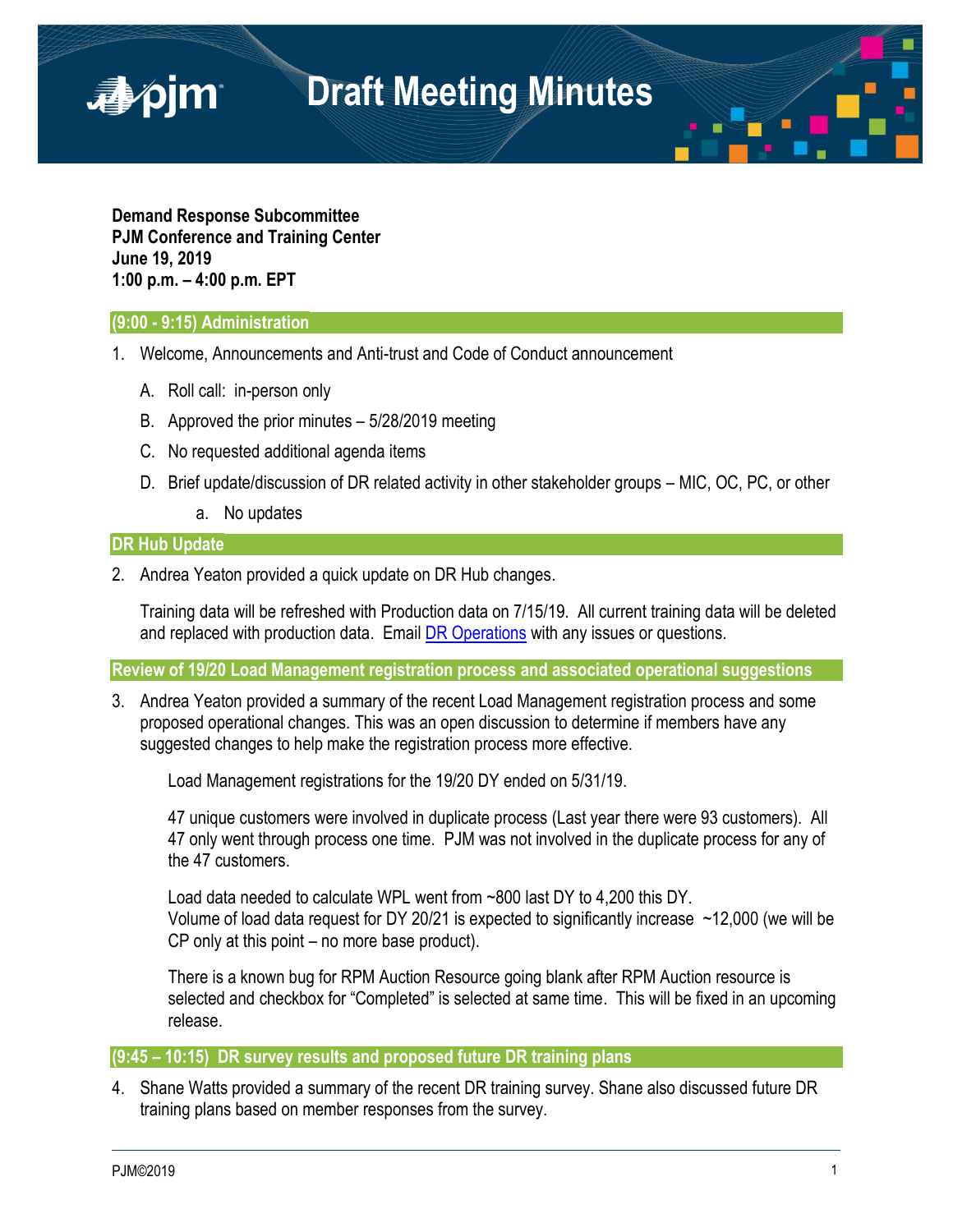

**Demand Response Subcommittee PJM Conference and Training Center June 19, 2019 1:00 p.m. – 4:00 p.m. EPT**

## **(9:00 - 9:15) Administration**

■pim

- 1. Welcome, Announcements and Anti-trust and Code of Conduct announcement
	- A. Roll call: in-person only
	- B. Approved the prior minutes 5/28/2019 meeting
	- C. No requested additional agenda items
	- D. Brief update/discussion of DR related activity in other stakeholder groups MIC, OC, PC, or other
		- a. No updates

## **DR Hub Update**

2. Andrea Yeaton provided a quick update on DR Hub changes.

Training data will be refreshed with Production data on 7/15/19. All current training data will be deleted and replaced with production data. Email [DR Operations](mailto:Demand_Response_operations@pjm.com) with any issues or questions.

**Review of 19/20 Load Management registration process and associated operational suggestions**

3. Andrea Yeaton provided a summary of the recent Load Management registration process and some proposed operational changes. This was an open discussion to determine if members have any suggested changes to help make the registration process more effective.

Load Management registrations for the 19/20 DY ended on 5/31/19.

47 unique customers were involved in duplicate process (Last year there were 93 customers). All 47 only went through process one time. PJM was not involved in the duplicate process for any of the 47 customers.

Load data needed to calculate WPL went from ~800 last DY to 4,200 this DY. Volume of load data request for DY 20/21 is expected to significantly increase  $\sim$ 12,000 (we will be CP only at this point – no more base product).

There is a known bug for RPM Auction Resource going blank after RPM Auction resource is selected and checkbox for "Completed" is selected at same time. This will be fixed in an upcoming release.

### **(9:45 – 10:15) DR survey results and proposed future DR training plans**

4. Shane Watts provided a summary of the recent DR training survey. Shane also discussed future DR training plans based on member responses from the survey.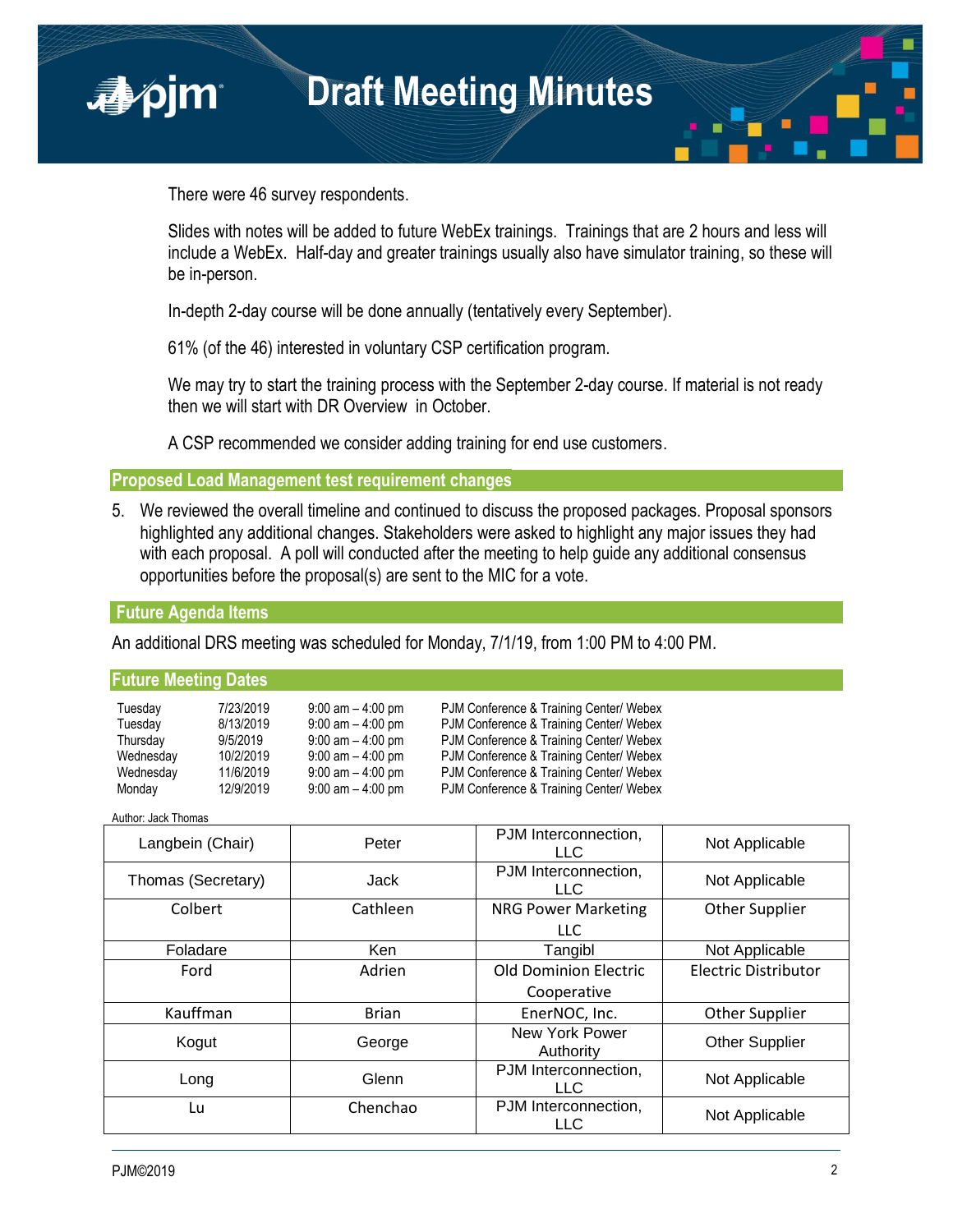

There were 46 survey respondents.

Slides with notes will be added to future WebEx trainings. Trainings that are 2 hours and less will include a WebEx. Half-day and greater trainings usually also have simulator training, so these will be in-person.

In-depth 2-day course will be done annually (tentatively every September).

61% (of the 46) interested in voluntary CSP certification program.

We may try to start the training process with the September 2-day course. If material is not ready then we will start with DR Overview in October.

A CSP recommended we consider adding training for end use customers.

## **Proposed Load Management test requirement changes**

5. We reviewed the overall timeline and continued to discuss the proposed packages. Proposal sponsors highlighted any additional changes. Stakeholders were asked to highlight any major issues they had with each proposal. A poll will conducted after the meeting to help guide any additional consensus opportunities before the proposal(s) are sent to the MIC for a vote.

**Future Agenda Items**

An additional DRS meeting was scheduled for Monday, 7/1/19, from 1:00 PM to 4:00 PM.

**Future Meeting Dates**

| Tuesday   | 7/23/2019 | $9:00$ am $-4:00$ pm | PJM Conference & Training Center/ Webex |
|-----------|-----------|----------------------|-----------------------------------------|
| Tuesday   | 8/13/2019 | $9:00$ am $-4:00$ pm | PJM Conference & Training Center/ Webex |
| Thursday  | 9/5/2019  | $9:00$ am $-4:00$ pm | PJM Conference & Training Center/ Webex |
| Wednesday | 10/2/2019 | $9:00$ am $-4:00$ pm | PJM Conference & Training Center/ Webex |
| Wednesday | 11/6/2019 | $9:00$ am $-4:00$ pm | PJM Conference & Training Center/ Webex |
| Monday    | 12/9/2019 | $9:00$ am $-4:00$ pm | PJM Conference & Training Center/ Webex |

Author: Jack Thomas

| Langbein (Chair)   | Peter        | PJM Interconnection,<br>LLC.             | Not Applicable        |
|--------------------|--------------|------------------------------------------|-----------------------|
| Thomas (Secretary) | Jack         | PJM Interconnection,<br><b>LLC</b>       | Not Applicable        |
| Colbert            | Cathleen     | <b>NRG Power Marketing</b><br><b>LLC</b> | <b>Other Supplier</b> |
|                    |              |                                          |                       |
| Foladare           | <b>Ken</b>   | Tangibl                                  | Not Applicable        |
| Ford               | Adrien       | <b>Old Dominion Electric</b>             | Electric Distributor  |
|                    |              | Cooperative                              |                       |
| Kauffman           | <b>Brian</b> | EnerNOC, Inc.                            | Other Supplier        |
| Kogut              | George       | New York Power<br>Authority              | <b>Other Supplier</b> |
| Long               | Glenn        | PJM Interconnection,<br>LLC.             | Not Applicable        |
| Lu                 | Chenchao     | PJM Interconnection,<br>LLC              | Not Applicable        |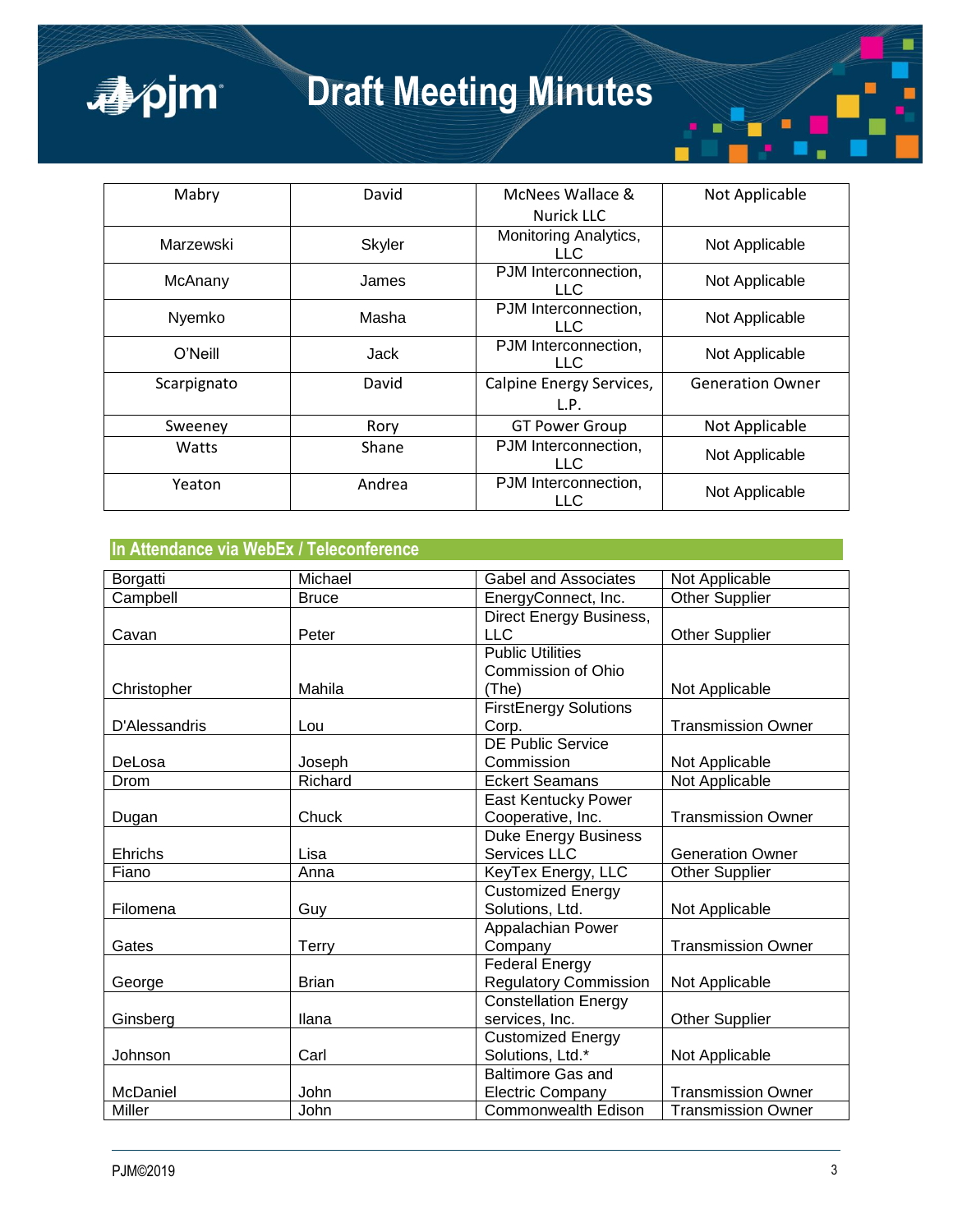

# **Draft Meeting Minutes**

| Mabry       | David  | McNees Wallace &                   | Not Applicable          |
|-------------|--------|------------------------------------|-------------------------|
|             |        | <b>Nurick LLC</b>                  |                         |
| Marzewski   | Skyler | Monitoring Analytics,<br>LLC.      | Not Applicable          |
| McAnany     | James  | PJM Interconnection,<br>LLC.       | Not Applicable          |
| Nyemko      | Masha  | PJM Interconnection,<br>LLC.       | Not Applicable          |
| $O'$ Neill  | Jack   | PJM Interconnection,<br>LLC.       | Not Applicable          |
| Scarpignato | David  | Calpine Energy Services,<br>L.P.   | <b>Generation Owner</b> |
| Sweeney     | Rory   | <b>GT Power Group</b>              | Not Applicable          |
| Watts       | Shane  | PJM Interconnection,<br>LLC.       | Not Applicable          |
| Yeaton      | Andrea | PJM Interconnection,<br><b>LLC</b> | Not Applicable          |

## **In Attendance via WebEx / Teleconference**

| Borgatti      | Michael      | Gabel and Associates         | Not Applicable            |
|---------------|--------------|------------------------------|---------------------------|
| Campbell      | <b>Bruce</b> | EnergyConnect, Inc.          | <b>Other Supplier</b>     |
|               |              | Direct Energy Business,      |                           |
| Cavan         | Peter        | <b>LLC</b>                   | <b>Other Supplier</b>     |
|               |              | <b>Public Utilities</b>      |                           |
|               |              | Commission of Ohio           |                           |
| Christopher   | Mahila       | (The)                        | Not Applicable            |
|               |              | <b>FirstEnergy Solutions</b> |                           |
| D'Alessandris | Lou          | Corp.                        | <b>Transmission Owner</b> |
|               |              | <b>DE Public Service</b>     |                           |
| DeLosa        | Joseph       | Commission                   | Not Applicable            |
| Drom          | Richard      | <b>Eckert Seamans</b>        | Not Applicable            |
|               |              | <b>East Kentucky Power</b>   |                           |
| Dugan         | Chuck        | Cooperative, Inc.            | <b>Transmission Owner</b> |
|               |              | Duke Energy Business         |                           |
| Ehrichs       | Lisa         | <b>Services LLC</b>          | <b>Generation Owner</b>   |
| Fiano         | Anna         | KeyTex Energy, LLC           | <b>Other Supplier</b>     |
|               |              | <b>Customized Energy</b>     |                           |
| Filomena      | Guy          | Solutions, Ltd.              | Not Applicable            |
|               |              | Appalachian Power            |                           |
| Gates         | <b>Terry</b> | Company                      | <b>Transmission Owner</b> |
|               |              | <b>Federal Energy</b>        |                           |
| George        | <b>Brian</b> | <b>Regulatory Commission</b> | Not Applicable            |
|               |              | <b>Constellation Energy</b>  |                           |
| Ginsberg      | Ilana        | services, Inc.               | <b>Other Supplier</b>     |
|               |              | Customized Energy            |                           |
| Johnson       | Carl         | Solutions, Ltd.*             | Not Applicable            |
|               |              | <b>Baltimore Gas and</b>     |                           |
| McDaniel      | John         | <b>Electric Company</b>      | <b>Transmission Owner</b> |
| Miller        | John         | Commonwealth Edison          | <b>Transmission Owner</b> |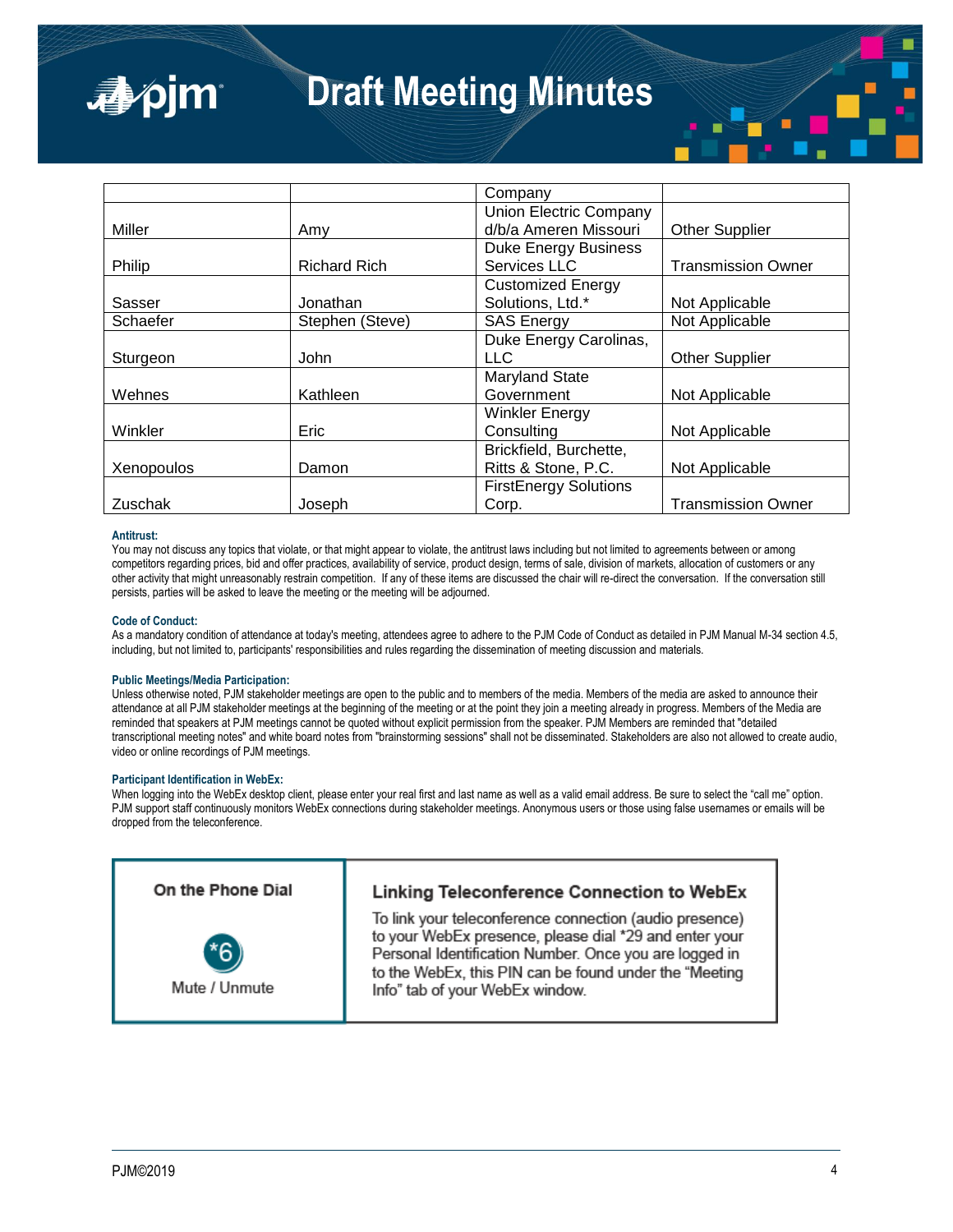## **Draft Meeting Minutes**

|            |                     | Company                      |                           |
|------------|---------------------|------------------------------|---------------------------|
|            |                     | Union Electric Company       |                           |
| Miller     | Amy                 | d/b/a Ameren Missouri        | <b>Other Supplier</b>     |
|            |                     | <b>Duke Energy Business</b>  |                           |
| Philip     | <b>Richard Rich</b> | Services LLC                 | <b>Transmission Owner</b> |
|            |                     | <b>Customized Energy</b>     |                           |
| Sasser     | Jonathan            | Solutions, Ltd.*             | Not Applicable            |
| Schaefer   | Stephen (Steve)     | <b>SAS Energy</b>            | Not Applicable            |
|            |                     | Duke Energy Carolinas,       |                           |
| Sturgeon   | John                | LLC.                         | <b>Other Supplier</b>     |
|            |                     | <b>Maryland State</b>        |                           |
| Wehnes     | Kathleen            | Government                   | Not Applicable            |
|            |                     | <b>Winkler Energy</b>        |                           |
| Winkler    | Eric                | Consulting                   | Not Applicable            |
|            |                     | Brickfield, Burchette,       |                           |
| Xenopoulos | Damon               | Ritts & Stone, P.C.          | Not Applicable            |
|            |                     | <b>FirstEnergy Solutions</b> |                           |
| Zuschak    | Joseph              | Corp.                        | <b>Transmission Owner</b> |

### **Antitrust:**

■pjm

You may not discuss any topics that violate, or that might appear to violate, the antitrust laws including but not limited to agreements between or among competitors regarding prices, bid and offer practices, availability of service, product design, terms of sale, division of markets, allocation of customers or any other activity that might unreasonably restrain competition. If any of these items are discussed the chair will re-direct the conversation. If the conversation still persists, parties will be asked to leave the meeting or the meeting will be adjourned.

### **Code of Conduct:**

As a mandatory condition of attendance at today's meeting, attendees agree to adhere to the PJM Code of Conduct as detailed in PJM Manual M-34 section 4.5, including, but not limited to, participants' responsibilities and rules regarding the dissemination of meeting discussion and materials.

### **Public Meetings/Media Participation:**

Unless otherwise noted, PJM stakeholder meetings are open to the public and to members of the media. Members of the media are asked to announce their attendance at all PJM stakeholder meetings at the beginning of the meeting or at the point they join a meeting already in progress. Members of the Media are reminded that speakers at PJM meetings cannot be quoted without explicit permission from the speaker. PJM Members are reminded that "detailed transcriptional meeting notes" and white board notes from "brainstorming sessions" shall not be disseminated. Stakeholders are also not allowed to create audio, video or online recordings of PJM meetings.

### **Participant Identification in WebEx:**

When logging into the WebEx desktop client, please enter your real first and last name as well as a valid email address. Be sure to select the "call me" option. PJM support staff continuously monitors WebEx connections during stakeholder meetings. Anonymous users or those using false usernames or emails will be dropped from the teleconference.